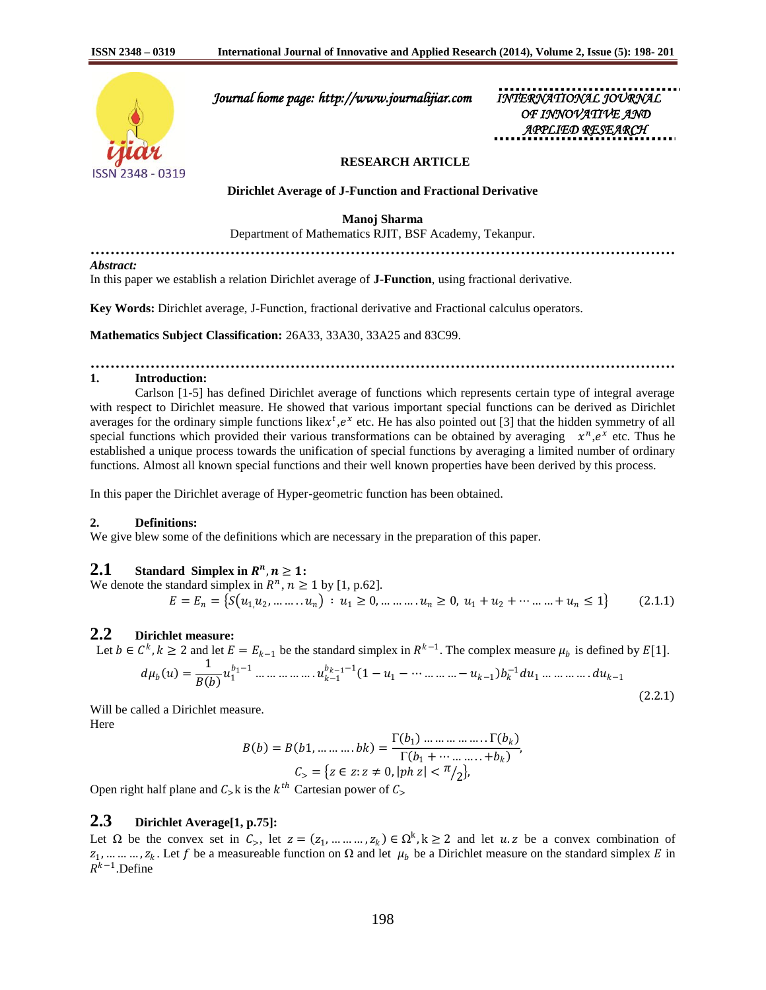

 *Journal home page: http://www.journalijiar.com INTERNATIONAL JOURNAL* 

 *OF INNOVATIVE AND APPLIED RESEARCH* 

## **RESEARCH ARTICLE**

**Dirichlet Average of J-Function and Fractional Derivative**

**Manoj Sharma**

Department of Mathematics RJIT, BSF Academy, Tekanpur.

**………………………………………………………………………………………………………**

*Abstract:*

In this paper we establish a relation Dirichlet average of **J-Function**, using fractional derivative.

**Key Words:** Dirichlet average, J-Function, fractional derivative and Fractional calculus operators.

**Mathematics Subject Classification:** 26A33, 33A30, 33A25 and 83C99.

## **……………………………………………………………………………………………………… 1. Introduction:**

Carlson [1-5] has defined Dirichlet average of functions which represents certain type of integral average with respect to Dirichlet measure. He showed that various important special functions can be derived as Dirichlet averages for the ordinary simple functions like  $x^t$ ,  $e^x$  etc. He has also pointed out [3] that the hidden symmetry of all special functions which provided their various transformations can be obtained by averaging  $x^n, e^x$  etc. Thus he established a unique process towards the unification of special functions by averaging a limited number of ordinary functions. Almost all known special functions and their well known properties have been derived by this process.

In this paper the Dirichlet average of Hyper-geometric function has been obtained.

### **2. Definitions:**

We give blew some of the definitions which are necessary in the preparation of this paper.

# **2.1** Standard Simplex in  $R^n, n \geq 1$ :

We denote the standard simplex in  $R^n$ ,  $n \ge 1$  by [1, p.62].  $E = E_n = \{ S(u_1, u_2, \dots, u_n) : u_1 \ge 0, \dots, u_n \ge 0, u_1 + u_2 + \dots, u_n \le 1 \}$  (2.1.1)

# **2.2 Dirichlet measure:**

Let  $b \in C^k$ ,  $k \ge 2$  and let  $E = E_{k-1}$  be the standard simplex in  $R^{k-1}$ . The complex measure  $\mu_b$  is defined by  $E[1]$ .

 = 1 1 1−<sup>1</sup> … … … … … . −<sup>1</sup> −1−1 1 −<sup>1</sup> − ⋯ … … … −−<sup>1</sup> <sup>−</sup><sup>1</sup><sup>1</sup> … … … … . −<sup>1</sup> (2.2.1)

Will be called a Dirichlet measure. Here

$$
B(b) = B(b1, \dots \dots \dots bk) = \frac{\Gamma(b_1) \dots \dots \dots \dots \dots \Gamma(b_k)}{\Gamma(b_1 + \dots \dots \dots + b_k)},
$$
  

$$
C_> = \{z \in z : z \neq 0, |ph z| < \pi/2\},\
$$

Open right half plane and  $C_{>}k$  is the  $k^{th}$  Cartesian power of  $C_{>}$ 

# **2.3 Dirichlet Average[1, p.75]:**

Let  $\Omega$  be the convex set in  $C_>,$  let  $z = (z_1, ..., ..., z_k) \in \Omega^k$ ,  $k \ge 2$  and let  $u \cdot z$  be a convex combination of  $z_1, \dots, z_k$ . Let f be a measureable function on  $\Omega$  and let  $\mu_b$  be a Dirichlet measure on the standard simplex E in  $R^{k-1}$ .Define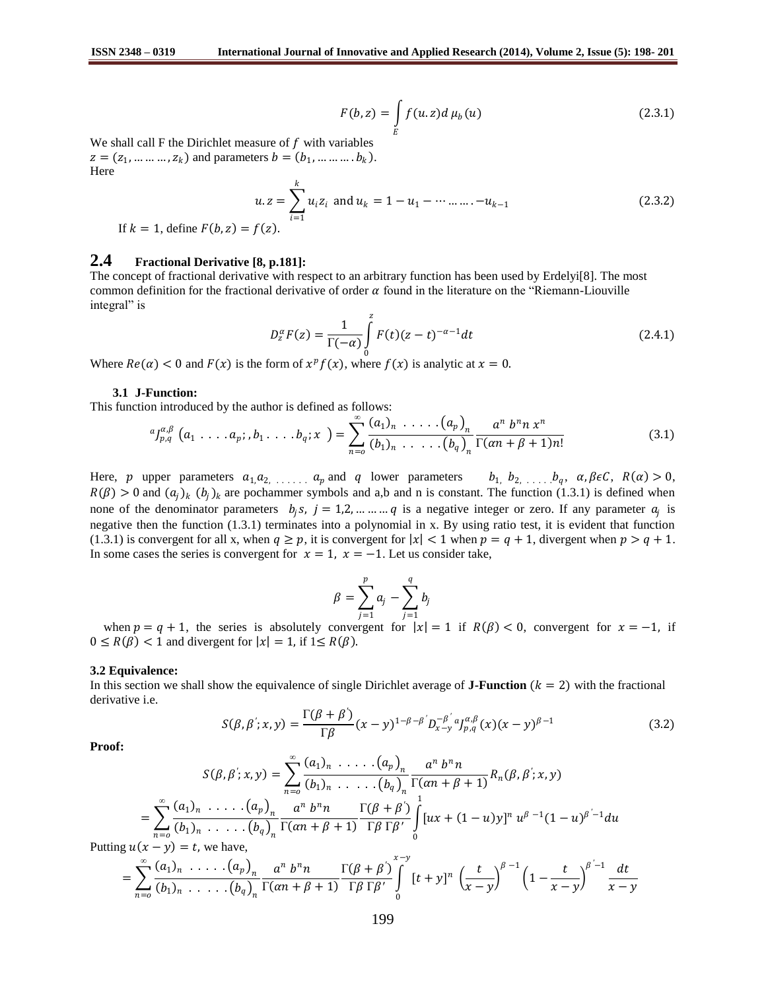$$
F(b, z) = \int_{E} f(u, z) d\mu_b(u)
$$
 (2.3.1)

We shall call  $F$  the Dirichlet measure of  $f$  with variables  $z = (z_1, ..., ..., z_k)$  and parameters  $b = (b_1, ..., ..., b_k)$ . Here

$$
u.z = \sum_{i=1}^{k} u_i z_i \text{ and } u_k = 1 - u_1 - \dots + u_{k-1}
$$
\n
$$
= f(z).
$$
\n(2.3.2)

If 
$$
k = 1
$$
, define  $F(b, z) = f(z)$ .

# **2.4 Fractional Derivative [8, p.181]:**

The concept of fractional derivative with respect to an arbitrary function has been used by Erdelyi[8]. The most common definition for the fractional derivative of order  $\alpha$  found in the literature on the "Riemann-Liouville" integral" is

$$
D_z^{\alpha}F(z) = \frac{1}{\Gamma(-\alpha)} \int_{0}^{z} F(t)(z-t)^{-\alpha-1} dt
$$
 (2.4.1)

Where  $Re(\alpha) < 0$  and  $F(x)$  is the form of  $x^p f(x)$ , where  $f(x)$  is analytic at  $x = 0$ .

### **3.1 J-Function:**

This function introduced by the author is defined as follows:

$$
{}^{a}J_{p,q}^{\alpha,\beta}(a_{1} \ldots a_{p};b_{1} \ldots b_{q};x) = \sum_{n=0}^{\infty} \frac{(a_{1})_{n} \ldots (a_{p})_{n}}{(b_{1})_{n} \ldots (b_{q})_{n}} \frac{a^{n} b^{n} n x^{n}}{\Gamma(\alpha n + \beta + 1)n!}
$$
(3.1)

Here, p upper parameters  $a_1, a_2, \ldots, a_p$  and q lower parameters  $b_1, b_2, \ldots, b_q, a_r \beta \epsilon C, R(\alpha) > 0$ ,  $R(\beta) > 0$  and  $(a_i)_k (b_i)_k$  are pochammer symbols and a,b and n is constant. The function (1.3.1) is defined when none of the denominator parameters  $b_j s$ ,  $j = 1, 2, ..., ..., q$  is a negative integer or zero. If any parameter  $a_j$  is negative then the function  $(1.3.1)$  terminates into a polynomial in x. By using ratio test, it is evident that function (1.3.1) is convergent for all x, when  $q \ge p$ , it is convergent for  $|x| < 1$  when  $p = q + 1$ , divergent when  $p > q + 1$ . In some cases the series is convergent for  $x = 1$ ,  $x = -1$ . Let us consider take,

$$
\beta = \sum_{j=1}^p a_j - \sum_{j=1}^q b_j
$$

when  $p = q + 1$ , the series is absolutely convergent for  $|x| = 1$  if  $R(\beta) < 0$ , convergent for  $x = -1$ , if  $0 \leq R(\beta) < 1$  and divergent for  $|x| = 1$ , if  $1 \leq R(\beta)$ .

#### **3.2 Equivalence:**

In this section we shall show the equivalence of single Dirichlet average of **J-Function**  $(k = 2)$  with the fractional derivative i.e.

$$
S(\beta, \beta'; x, y) = \frac{\Gamma(\beta + \beta')}{\Gamma \beta} (x - y)^{1 - \beta - \beta'} D_{x - y}^{-\beta'} a_{p, q}^{a, \beta} (x) (x - y)^{\beta - 1}
$$
(3.2)

**Proof:** 

$$
S(\beta, \beta'; x, y) = \sum_{n=0}^{\infty} \frac{(a_1)_n \cdot \ldots \cdot (a_p)_n}{(b_1)_n \cdot \ldots \cdot (b_q)_n} \frac{a^n b^n n}{\Gamma(\alpha n + \beta + 1)} R_n(\beta, \beta'; x, y)
$$
  
= 
$$
\sum_{n=0}^{\infty} \frac{(a_1)_n \cdot \ldots \cdot (a_p)_n}{(b_1)_n \cdot \ldots \cdot (b_q)_n} \frac{a^n b^n n}{\Gamma(\alpha n + \beta + 1)} \frac{\Gamma(\beta + \beta')}{\Gamma \beta \Gamma \beta'} \int_{0}^{1} [ux + (1-u)y]^n u^{\beta - 1} (1-u)^{\beta - 1} du
$$

Putting  $u(x - y) = t$ , we have,

$$
= \sum_{n=0}^{\infty} \frac{(a_1)_n \cdot \ldots \cdot (a_p)_n}{(b_1)_n \cdot \ldots \cdot (b_q)_n} \frac{a^n b^n n}{\Gamma(\alpha n + \beta + 1)} \frac{\Gamma(\beta + \beta')}{\Gamma \beta \Gamma \beta'} \int_{0}^{x-y} [t+y]^n \left(\frac{t}{x-y}\right)^{\beta-1} \left(1 - \frac{t}{x-y}\right)^{\beta'-1} \frac{dt}{x-y}
$$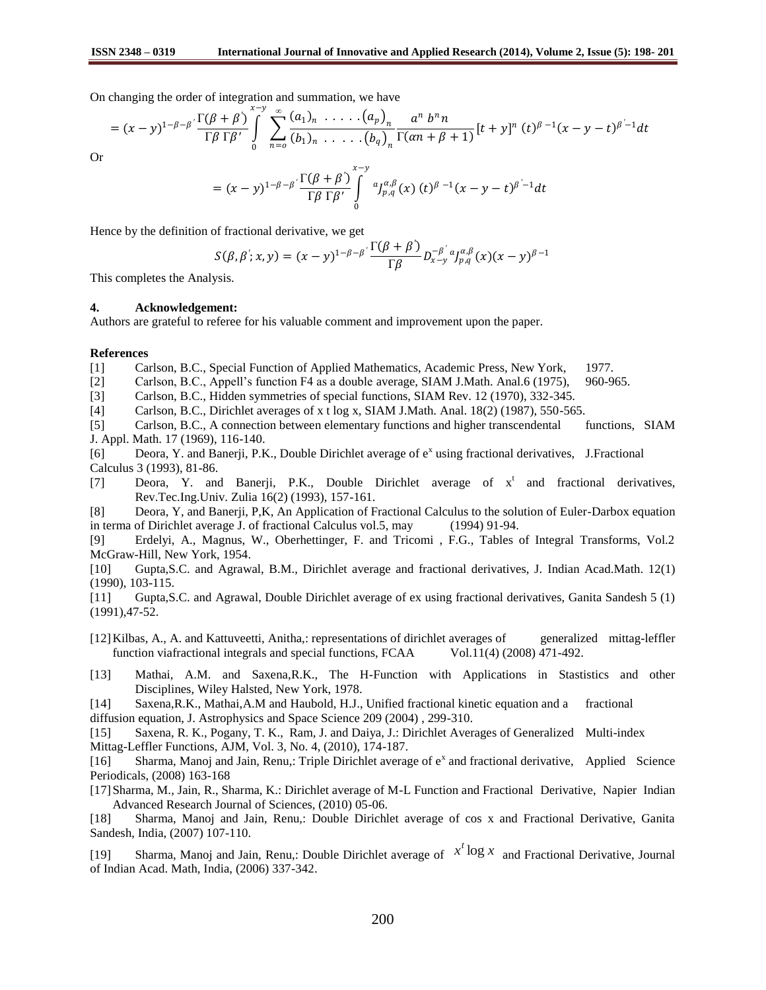On changing the order of integration and summation, we have

$$
= (x - y)^{1-\beta-\beta} \frac{\Gamma(\beta + \beta)}{\Gamma \beta \Gamma \beta'} \int_{0}^{x-y} \sum_{n=0}^{\infty} \frac{(a_1)_n \cdot \ldots \cdot (a_p)_n}{(b_1)_n \cdot \ldots \cdot (b_q)_n} \frac{a^n b^n n}{\Gamma(\alpha n + \beta + 1)} [t + y]^n (t)^{\beta-1} (x - y - t)^{\beta-1} dt
$$

Or

$$
= (x - y)^{1-\beta-\beta} \frac{\Gamma(\beta + \beta)}{\Gamma\beta \Gamma\beta'} \int_{0}^{x - y} a_{p,q}^{a,\beta}(x) (t)^{\beta-1} (x - y - t)^{\beta'-1} dt
$$

Hence by the definition of fractional derivative, we get

$$
S(\beta,\beta';x,y)=(x-y)^{1-\beta-\beta'}\frac{\Gamma(\beta+\beta')}{\Gamma\beta}D_{x-y}^{-\beta'}a_{y,q}^{\alpha,\beta}(x)(x-y)^{\beta-1}
$$

This completes the Analysis.

### **4. Acknowledgement:**

Authors are grateful to referee for his valuable comment and improvement upon the paper.

### **References**

- [1] Carlson, B.C., Special Function of Applied Mathematics, Academic Press, New York, 1977.
- [2] Carlson, B.C., Appell's function F4 as a double average, SIAM J.Math. Anal.6 (1975), 960-965.

[3] Carlson, B.C., Hidden symmetries of special functions, SIAM Rev. 12 (1970), 332-345.

[4] Carlson, B.C., Dirichlet averages of x t log x, SIAM J.Math. Anal. 18(2) (1987), 550-565.

[5] Carlson, B.C., A connection between elementary functions and higher transcendental functions, SIAM J. Appl. Math. 17 (1969), 116-140.

[6] Deora, Y. and Banerji, P.K., Double Dirichlet average of  $e^x$  using fractional derivatives, J.Fractional Calculus 3 (1993), 81-86.

[7] Deora, Y. and Banerji, P.K., Double Dirichlet average of  $x^t$  and fractional derivatives, Rev.Tec.Ing.Univ. Zulia 16(2) (1993), 157-161.

[8] Deora, Y, and Banerji, P,K, An Application of Fractional Calculus to the solution of Euler-Darbox equation in terma of Dirichlet average J. of fractional Calculus vol.5, may (1994) 91-94.

[9] Erdelyi, A., Magnus, W., Oberhettinger, F. and Tricomi , F.G., Tables of Integral Transforms, Vol.2 McGraw-Hill, New York, 1954.

[10] Gupta,S.C. and Agrawal, B.M., Dirichlet average and fractional derivatives, J. Indian Acad.Math. 12(1) (1990), 103-115.

[11] Gupta,S.C. and Agrawal, Double Dirichlet average of ex using fractional derivatives, Ganita Sandesh 5 (1) (1991),47-52.

- [12]Kilbas, A., A. and Kattuveetti, Anitha,: representations of dirichlet averages of generalized mittag-leffler function viafractional integrals and special functions, FCAA Vol.11(4) (2008) 471-492.
- [13] Mathai, A.M. and Saxena,R.K., The H-Function with Applications in Stastistics and other Disciplines, Wiley Halsted, New York, 1978.

[14] Saxena,R.K., Mathai,A.M and Haubold, H.J., Unified fractional kinetic equation and a fractional diffusion equation, J. Astrophysics and Space Science 209 (2004) , 299-310.

[15] Saxena, R. K., Pogany, T. K., Ram, J. and Daiya, J.: Dirichlet Averages of Generalized Multi-index Mittag-Leffler Functions, AJM, Vol. 3, No. 4, (2010), 174-187.

[16] Sharma, Manoj and Jain, Renu,: Triple Dirichlet average of e<sup>x</sup> and fractional derivative, Applied Science Periodicals, (2008) 163-168

[17]Sharma, M., Jain, R., Sharma, K.: Dirichlet average of M-L Function and Fractional Derivative, Napier Indian Advanced Research Journal of Sciences, (2010) 05-06.

[18] Sharma, Manoj and Jain, Renu,: Double Dirichlet average of cos x and Fractional Derivative, Ganita Sandesh, India, (2007) 107-110.

[19] Sharma, Manoj and Jain, Renu,: Double Dirichlet average of  $x^t \log x$  and Fractional Derivative, Journal of Indian Acad. Math, India, (2006) 337-342.